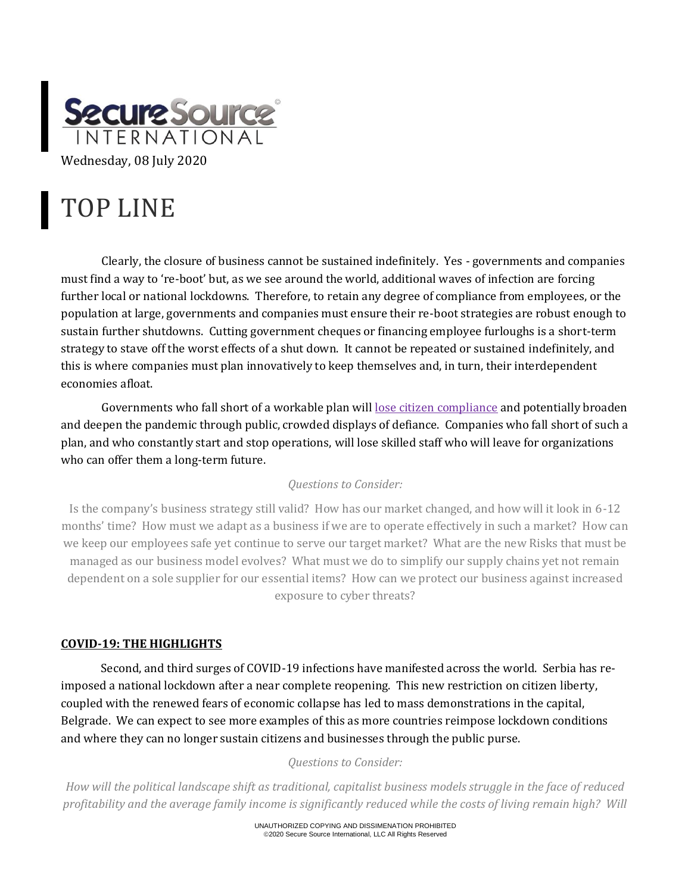

# TOP LINE

Clearly, the closure of business cannot be sustained indefinitely. Yes - governments and companies must find a way to 're-boot' but, as we see around the world, additional waves of infection are forcing further local or national lockdowns. Therefore, to retain any degree of compliance from employees, or the population at large, governments and companies must ensure their re-boot strategies are robust enough to sustain further shutdowns. Cutting government cheques or financing employee furloughs is a short-term strategy to stave off the worst effects of a shut down. It cannot be repeated or sustained indefinitely, and this is where companies must plan innovatively to keep themselves and, in turn, their interdependent economies afloat.

Governments who fall short of a workable plan will [lose citizen compliance](https://news.sky.com/story/coronavirus-riots-in-the-serbian-capital-after-government-reimposes-lockdown-12023505) and potentially broaden and deepen the pandemic through public, crowded displays of defiance. Companies who fall short of such a plan, and who constantly start and stop operations, will lose skilled staff who will leave for organizations who can offer them a long-term future.

## *Questions to Consider:*

Is the company's business strategy still valid? How has our market changed, and how will it look in 6-12 months' time? How must we adapt as a business if we are to operate effectively in such a market? How can we keep our employees safe yet continue to serve our target market? What are the new Risks that must be managed as our business model evolves? What must we do to simplify our supply chains yet not remain dependent on a sole supplier for our essential items? How can we protect our business against increased exposure to cyber threats?

## **COVID-19: THE HIGHLIGHTS**

Second, and third surges of COVID-19 infections have manifested across the world. Serbia has reimposed a national lockdown after a near complete reopening. This new restriction on citizen liberty, coupled with the renewed fears of economic collapse has led to mass demonstrations in the capital, Belgrade. We can expect to see more examples of this as more countries reimpose lockdown conditions and where they can no longer sustain citizens and businesses through the public purse.

#### *Questions to Consider:*

*How will the political landscape shift as traditional, capitalist business models struggle in the face of reduced profitability and the average family income is significantly reduced while the costs of living remain high? Will* 

> UNAUTHORIZED COPYING AND DISSIMENATION PROHIBITED ©2020 Secure Source International, LLC All Rights Reserved